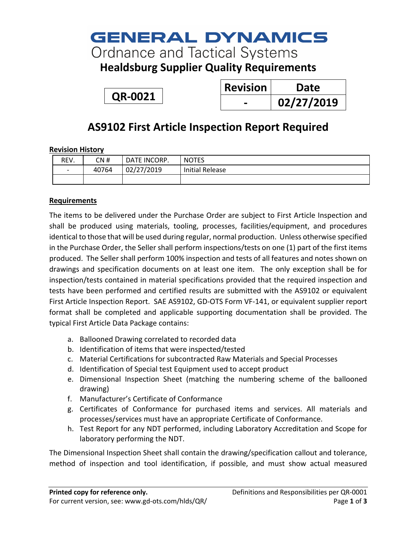# **GENERAL DYNAMICS**

**Ordnance and Tactical Systems** 

**Healdsburg Supplier Quality Requirements**

**QR-0021**

| <b>Revision</b> | Date       |
|-----------------|------------|
|                 | 02/27/2019 |

### **AS9102 First Article Inspection Report Required**

#### **Revision History**

| REV.                     | CN #  | DATE INCORP. | <b>NOTES</b>           |
|--------------------------|-------|--------------|------------------------|
| $\overline{\phantom{a}}$ | 40764 | 02/27/2019   | <b>Initial Release</b> |
|                          |       |              |                        |

### **Requirements**

The items to be delivered under the Purchase Order are subject to First Article Inspection and shall be produced using materials, tooling, processes, facilities/equipment, and procedures identical to those that will be used during regular, normal production. Unless otherwise specified in the Purchase Order, the Seller shall perform inspections/tests on one (1) part of the first items produced. The Seller shall perform 100% inspection and tests of all features and notes shown on drawings and specification documents on at least one item. The only exception shall be for inspection/tests contained in material specifications provided that the required inspection and tests have been performed and certified results are submitted with the AS9102 or equivalent First Article Inspection Report. SAE AS9102, GD-OTS Form VF-141, or equivalent supplier report format shall be completed and applicable supporting documentation shall be provided. The typical First Article Data Package contains:

- a. Ballooned Drawing correlated to recorded data
- b. Identification of items that were inspected/tested
- c. Material Certifications for subcontracted Raw Materials and Special Processes
- d. Identification of Special test Equipment used to accept product
- e. Dimensional Inspection Sheet (matching the numbering scheme of the ballooned drawing)
- f. Manufacturer's Certificate of Conformance
- g. Certificates of Conformance for purchased items and services. All materials and processes/services must have an appropriate Certificate of Conformance.
- h. Test Report for any NDT performed, including Laboratory Accreditation and Scope for laboratory performing the NDT.

The Dimensional Inspection Sheet shall contain the drawing/specification callout and tolerance, method of inspection and tool identification, if possible, and must show actual measured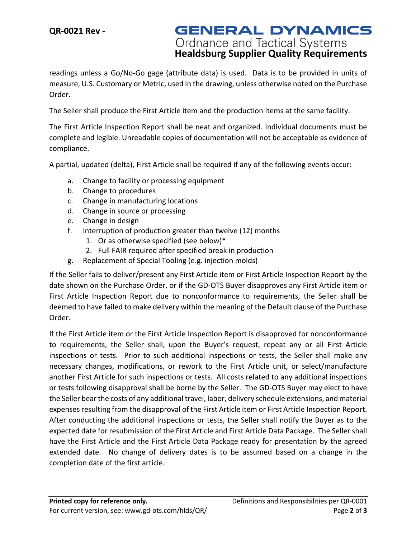**GENERAL DYNAMICS Ordnance and Tactical Systems<br>
<b>Healdsburg Supplier Quality Requirements** 

readings unless a Go/No-Go gage (attribute data) is used. Data is to be provided in units of measure, U.S. Customary or Metric, used in the drawing, unless otherwise noted on the Purchase Order.

The Seller shall produce the First Article item and the production items at the same facility.

The First Article Inspection Report shall be neat and organized. Individual documents must be complete and legible. Unreadable copies of documentation will not be acceptable as evidence of compliance.

A partial, updated (delta), First Article shall be required if any of the following events occur:

- a. Change to facility or processing equipment
- b. Change to procedures
- c. Change in manufacturing locations
- d. Change in source or processing
- e. Change in design
- f. Interruption of production greater than twelve (12) months
	- 1. Or as otherwise specified (see below)\*
	- 2. Full FAIR required after specified break in production
- g. Replacement of Special Tooling (e.g. injection molds)

If the Seller fails to deliver/present any First Article item or First Article Inspection Report by the date shown on the Purchase Order, or if the GD-OTS Buyer disapproves any First Article item or First Article Inspection Report due to nonconformance to requirements, the Seller shall be deemed to have failed to make delivery within the meaning of the Default clause of the Purchase Order.

If the First Article item or the First Article Inspection Report is disapproved for nonconformance to requirements, the Seller shall, upon the Buyer's request, repeat any or all First Article inspections or tests. Prior to such additional inspections or tests, the Seller shall make any necessary changes, modifications, or rework to the First Article unit, or select/manufacture another First Article for such inspections or tests. All costs related to any additional inspections or tests following disapproval shall be borne by the Seller. The GD-OTS Buyer may elect to have the Seller bear the costs of any additional travel, labor, delivery schedule extensions, and material expenses resulting from the disapproval of the First Article item or First Article Inspection Report. After conducting the additional inspections or tests, the Seller shall notify the Buyer as to the expected date for resubmission of the First Article and First Article Data Package. The Seller shall have the First Article and the First Article Data Package ready for presentation by the agreed extended date. No change of delivery dates is to be assumed based on a change in the completion date of the first article.